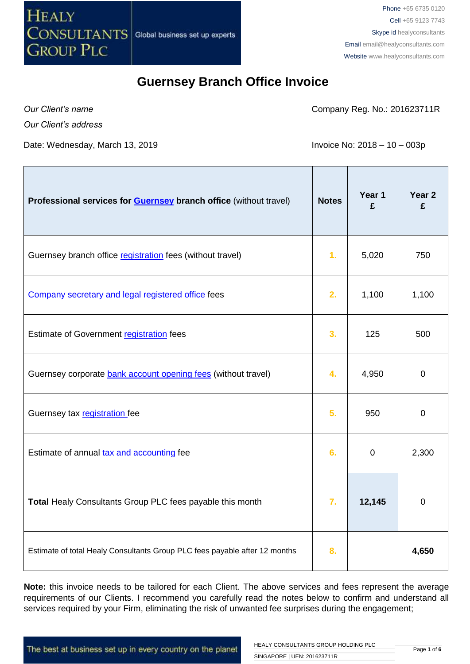

Phone +65 6735 0120 Cell +65 9123 7743 Skype id healyconsultants Email [email@healyconsultants.com](mailto:EMAIL@HEALYCONSULTANTS.COM) Website [www.healyconsultants.com](http://www.healyconsultants.com/)

#### **Guernsey Branch Office Invoice**

*Our Client's name Our Client's address* Company Reg. No.: 201623711R

Date: Wednesday, March 13, 2019 **Invoice No: 2018** - 10 – 003p

| Professional services for <b>Guernsey</b> branch office (without travel)   | <b>Notes</b> | Year 1<br>£ | Year 2<br>£      |
|----------------------------------------------------------------------------|--------------|-------------|------------------|
| Guernsey branch office registration fees (without travel)                  | 1.           | 5,020       | 750              |
| Company secretary and legal registered office fees                         | 2.           | 1,100       | 1,100            |
| Estimate of Government registration fees                                   | 3.           | 125         | 500              |
| Guernsey corporate bank account opening fees (without travel)              | 4.           | 4,950       | 0                |
| Guernsey tax registration fee                                              | 5.           | 950         | 0                |
| Estimate of annual tax and accounting fee                                  | 6.           | $\mathbf 0$ | 2,300            |
| Total Healy Consultants Group PLC fees payable this month                  | 7.           | 12,145      | $\boldsymbol{0}$ |
| Estimate of total Healy Consultants Group PLC fees payable after 12 months | 8.           |             | 4,650            |

**Note:** this invoice needs to be tailored for each Client. The above services and fees represent the average requirements of our Clients. I recommend you carefully read the notes below to confirm and understand all services required by your Firm, eliminating the risk of unwanted fee surprises during the engagement;

The best at business set up in every country on the planet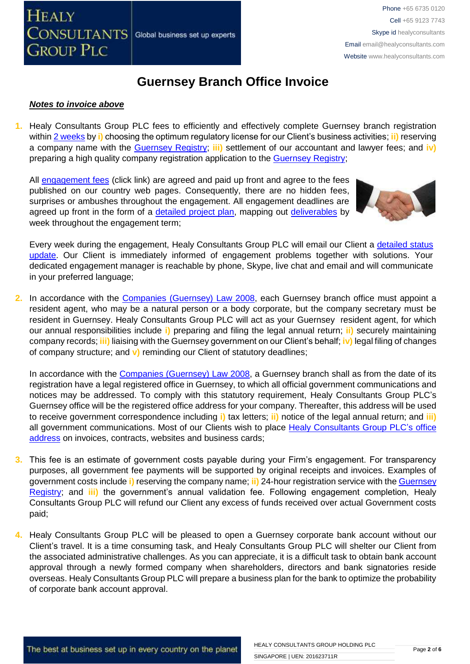

#### *Notes to invoice above*

**1.** Healy Consultants Group PLC fees to efficiently and effectively complete Guernsey branch registration within [2 weeks](http://www.healyconsultants.com/guernsey-company-registration/fees-timelines/#timelines) by **i)** choosing the optimum regulatory license for our Client's business activities; **ii)** reserving a company name with the [Guernsey Registry;](http://guernseyregistry.com/) **iii)** settlement of our accountant and lawyer fees; and **iv)** preparing a high quality company registration application to the [Guernsey Registry;](http://guernseyregistry.com/)

All [engagement fees](http://www.healyconsultants.com/company-registration-fees/) (click link) are agreed and paid up front and agree to the fees published on our country web pages. Consequently, there are no hidden fees, surprises or ambushes throughout the engagement. All engagement deadlines are agreed up front in the form of a [detailed project plan,](http://www.healyconsultants.com/index-important-links/example-project-plan/) mapping out [deliverables](http://www.healyconsultants.com/deliverables-to-our-clients/) by week throughout the engagement term;



Every week during the engagement, Healy Consultants Group PLC will email our Client a detailed status [update.](http://www.healyconsultants.com/index-important-links/weekly-engagement-status-email/) Our Client is immediately informed of engagement problems together with solutions. Your dedicated engagement manager is reachable by phone, Skype, live chat and email and will communicate in your preferred language;

**2.** In accordance with the [Companies \(Guernsey\) Law 2008,](http://www.gfsc.gg/The-Commission/Policy%20and%20Legislation/Companies-(Guernsey)-Law-2008-(Consolidated-text).pdf) each Guernsey branch office must appoint a resident agent, who may be a natural person or a body corporate, but the company secretary must be resident in Guernsey. Healy Consultants Group PLC will act as your Guernsey resident agent, for which our annual responsibilities include **i)** preparing and filing the legal annual return; **ii)** securely maintaining company records; **iii)** liaising with the Guernsey government on our Client's behalf; **iv)** legal filing of changes of company structure; and **v)** reminding our Client of statutory deadlines;

In accordance with the [Companies \(Guernsey\) Law 2008,](http://www.gfsc.gg/The-Commission/Policy%20and%20Legislation/Companies-(Guernsey)-Law-2008-(Consolidated-text).pdf) a Guernsey branch shall as from the date of its registration have a legal registered office in Guernsey, to which all official government communications and notices may be addressed. To comply with this statutory requirement, Healy Consultants Group PLC's Guernsey office will be the registered office address for your company. Thereafter, this address will be used to receive government correspondence including **i)** tax letters; **ii)** notice of the legal annual return; and **iii)**  all government communications. Most of our Clients wish to place [Healy Consultants Group PLC's](http://www.healyconsultants.com/corporate-outsourcing-services/company-secretary-and-legal-registered-office/) office [address](http://www.healyconsultants.com/corporate-outsourcing-services/company-secretary-and-legal-registered-office/) on invoices, contracts, websites and business cards;

- **3.** This fee is an estimate of government costs payable during your Firm's engagement. For transparency purposes, all government fee payments will be supported by original receipts and invoices. Examples of government costs include **i)** reserving the company name; **ii)** 24-hour registration service with the [Guernsey](http://guernseyregistry.com/)  [Registry;](http://guernseyregistry.com/) and **iii)** the government's annual validation fee. Following engagement completion, Healy Consultants Group PLC will refund our Client any excess of funds received over actual Government costs paid;
- **4.** Healy Consultants Group PLC will be pleased to open a Guernsey corporate bank account without our Client's travel. It is a time consuming task, and Healy Consultants Group PLC will shelter our Client from the associated administrative challenges. As you can appreciate, it is a difficult task to obtain bank account approval through a newly formed company when shareholders, directors and bank signatories reside overseas. Healy Consultants Group PLC will prepare a business plan for the bank to optimize the probability of corporate bank account approval.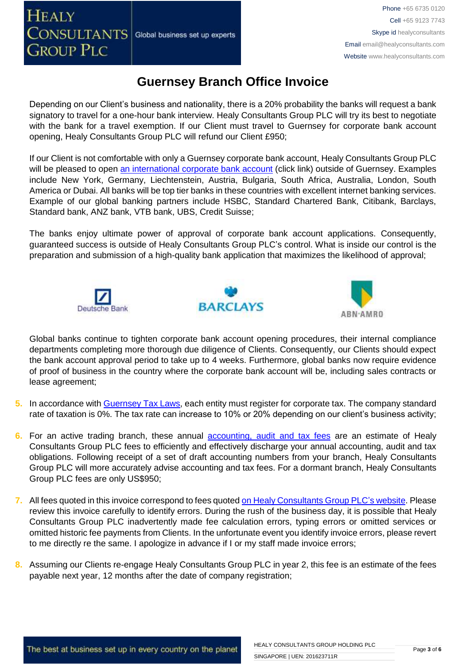Depending on our Client's business and nationality, there is a 20% probability the banks will request a bank signatory to travel for a one-hour bank interview. Healy Consultants Group PLC will try its best to negotiate with the bank for a travel exemption. If our Client must travel to Guernsey for corporate bank account opening, Healy Consultants Group PLC will refund our Client £950;

If our Client is not comfortable with only a Guernsey corporate bank account, Healy Consultants Group PLC will be pleased to open [an international corporate bank account](http://www.healyconsultants.com/international-banking/) (click link) outside of Guernsey. Examples include New York, Germany, Liechtenstein, Austria, Bulgaria, South Africa, Australia, London, South America or Dubai. All banks will be top tier banks in these countries with excellent internet banking services. Example of our global banking partners include HSBC, Standard Chartered Bank, Citibank, Barclays, Standard bank, ANZ bank, VTB bank, UBS, Credit Suisse;

The banks enjoy ultimate power of approval of corporate bank account applications. Consequently, guaranteed success is outside of Healy Consultants Group PLC's control. What is inside our control is the preparation and submission of a high-quality bank application that maximizes the likelihood of approval;







Global banks continue to tighten corporate bank account opening procedures, their internal compliance departments completing more thorough due diligence of Clients. Consequently, our Clients should expect the bank account approval period to take up to 4 weeks. Furthermore, global banks now require evidence of proof of business in the country where the corporate bank account will be, including sales contracts or lease agreement;

- **5.** In accordance with [Guernsey Tax Laws,](https://gov.gg/article/120167/Tax-for-businesses-companies-and-employers) each entity must register for corporate tax. The company standard rate of taxation is 0%. The tax rate can increase to 10% or 20% depending on our client's business activity;
- **6.** For an active trading branch, these annual [accounting, audit and tax](http://www.healyconsultants.com/guernsey-company-registration/accounting-legal/) fees are an estimate of Healy Consultants Group PLC fees to efficiently and effectively discharge your annual accounting, audit and tax obligations. Following receipt of a set of draft accounting numbers from your branch, Healy Consultants Group PLC will more accurately advise accounting and tax fees. For a dormant branch, Healy Consultants Group PLC fees are only US\$950;
- **7.** All fees quoted in this invoice correspond to fees quoted [on Healy Consultants Group PLC's](http://www.healyconsultants.com/company-registration-fees/) website. Please review this invoice carefully to identify errors. During the rush of the business day, it is possible that Healy Consultants Group PLC inadvertently made fee calculation errors, typing errors or omitted services or omitted historic fee payments from Clients. In the unfortunate event you identify invoice errors, please revert to me directly re the same. I apologize in advance if I or my staff made invoice errors;
- **8.** Assuming our Clients re-engage Healy Consultants Group PLC in year 2, this fee is an estimate of the fees payable next year, 12 months after the date of company registration;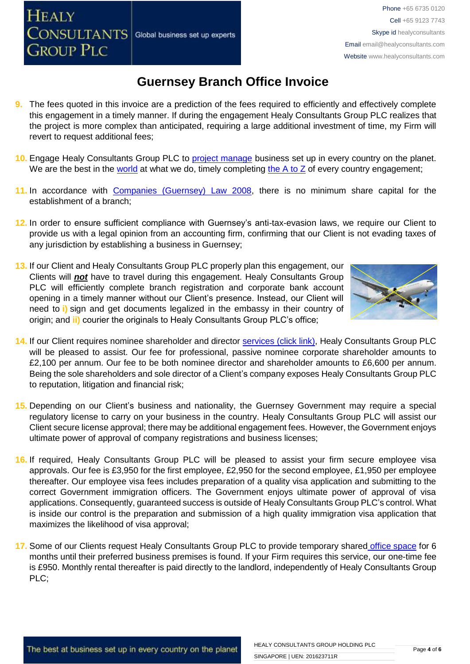- **9.** The fees quoted in this invoice are a prediction of the fees required to efficiently and effectively complete this engagement in a timely manner. If during the engagement Healy Consultants Group PLC realizes that the project is more complex than anticipated, requiring a large additional investment of time, my Firm will revert to request additional fees;
- **10.** Engage Healy Consultants Group PLC to [project manage](http://www.healyconsultants.com/project-manage-engagements/) business set up in every country on the planet. We are the best in the [world](http://www.healyconsultants.com/best-in-the-world/) at what we do, timely completing the  $A$  to  $Z$  of every country engagement;
- **11.** In accordance with [Companies \(Guernsey\) Law 2008,](http://www.guernseylegalresources.gg/article/94138/Companies-Guernsey-Law-2008-Consolidated-text) there is no minimum share capital for the establishment of a branch;
- **12.** In order to ensure sufficient compliance with Guernsey's anti-tax-evasion laws, we require our Client to provide us with a legal opinion from an accounting firm, confirming that our Client is not evading taxes of any jurisdiction by establishing a business in Guernsey;
- **13.** If our Client and Healy Consultants Group PLC properly plan this engagement, our Clients will *not* have to travel during this engagement. Healy Consultants Group PLC will efficiently complete branch registration and corporate bank account opening in a timely manner without our Client's presence. Instead, our Client will need to **i)** sign and get documents legalized in the embassy in their country of origin; and **ii)** courier the originals to Healy Consultants Group PLC's office;

Global business set up experts

**HEALY** 

**CONSULTANTS** 

**GROUP PLC** 



- **14.** If our Client requires nominee shareholder and director services [\(click link\),](http://www.healyconsultants.com/corporate-outsourcing-services/nominee-shareholders-directors/) Healy Consultants Group PLC will be pleased to assist. Our fee for professional, passive nominee corporate shareholder amounts to £2,100 per annum. Our fee to be both nominee director and shareholder amounts to £6,600 per annum. Being the sole shareholders and sole director of a Client's company exposes Healy Consultants Group PLC to reputation, litigation and financial risk;
- **15.** Depending on our Client's business and nationality, the Guernsey Government may require a special regulatory license to carry on your business in the country. Healy Consultants Group PLC will assist our Client secure license approval; there may be additional engagement fees. However, the Government enjoys ultimate power of approval of company registrations and business licenses;
- **16.** If required, Healy Consultants Group PLC will be pleased to assist your firm secure employee visa approvals. Our fee is £3,950 for the first employee, £2,950 for the second employee, £1,950 per employee thereafter. Our employee visa fees includes preparation of a quality visa application and submitting to the correct Government immigration officers. The Government enjoys ultimate power of approval of visa applications. Consequently, guaranteed success is outside of Healy Consultants Group PLC's control. What is inside our control is the preparation and submission of a high quality immigration visa application that maximizes the likelihood of visa approval;
- **17.** Some of our Clients request Healy Consultants Group PLC to provide temporary shared [office space](http://www.healyconsultants.com/virtual-office/) for 6 months until their preferred business premises is found. If your Firm requires this service, our one-time fee is £950. Monthly rental thereafter is paid directly to the landlord, independently of Healy Consultants Group PLC;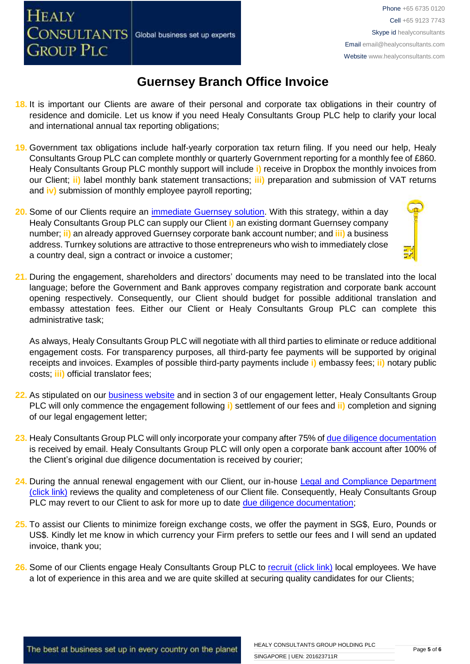- **18.** It is important our Clients are aware of their personal and corporate tax obligations in their country of residence and domicile. Let us know if you need Healy Consultants Group PLC help to clarify your local and international annual tax reporting obligations;
- **19.** Government tax obligations include half-yearly corporation tax return filing. If you need our help, Healy Consultants Group PLC can complete monthly or quarterly Government reporting for a monthly fee of £860. Healy Consultants Group PLC monthly support will include **i)** receive in Dropbox the monthly invoices from our Client; **ii)** label monthly bank statement transactions; **iii)** preparation and submission of VAT returns and **iv)** submission of monthly employee payroll reporting;
- **20.** Some of our Clients require an [immediate Guernsey](http://www.healyconsultants.com/turnkey-solutions/) solution. With this strategy, within a day Healy Consultants Group PLC can supply our Client **i)** an existing dormant Guernsey company number; **ii)** an already approved Guernsey corporate bank account number; and **iii)** a business address. Turnkey solutions are attractive to those entrepreneurs who wish to immediately close a country deal, sign a contract or invoice a customer;

Global business set up experts

**HEALY** 

**CONSULTANTS** 

**GROUP PLC** 

**21.** During the engagement, shareholders and directors' documents may need to be translated into the local language; before the Government and Bank approves company registration and corporate bank account opening respectively. Consequently, our Client should budget for possible additional translation and embassy attestation fees. Either our Client or Healy Consultants Group PLC can complete this administrative task;

As always, Healy Consultants Group PLC will negotiate with all third parties to eliminate or reduce additional engagement costs. For transparency purposes, all third-party fee payments will be supported by original receipts and invoices. Examples of possible third-party payments include **i)** embassy fees; **ii)** notary public costs; **iii)** official translator fees;

- **22.** As stipulated on our [business website](http://www.healyconsultants.com/) and in section 3 of our engagement letter, Healy Consultants Group PLC will only commence the engagement following **i)** settlement of our fees and **ii)** completion and signing of our legal engagement letter;
- **23.** Healy Consultants Group PLC will only incorporate your company after 75% of [due diligence documentation](http://www.healyconsultants.com/due-diligence/) is received by email. Healy Consultants Group PLC will only open a corporate bank account after 100% of the Client's original due diligence documentation is received by courier;
- **24.** During the annual renewal engagement with our Client, our in-house [Legal and Compliance Department](http://www.healyconsultants.com/about-us/key-personnel/cai-xin-profile/)  [\(click link\)](http://www.healyconsultants.com/about-us/key-personnel/cai-xin-profile/) reviews the quality and completeness of our Client file. Consequently, Healy Consultants Group PLC may revert to our Client to ask for more up to date [due diligence documentation;](http://www.healyconsultants.com/due-diligence/)
- **25.** To assist our Clients to minimize foreign exchange costs, we offer the payment in SG\$, Euro, Pounds or US\$. Kindly let me know in which currency your Firm prefers to settle our fees and I will send an updated invoice, thank you;
- 26. Some of our Clients engage Healy Consultants Group PLC to [recruit \(click link\)](http://www.healyconsultants.com/corporate-outsourcing-services/how-we-help-our-clients-recruit-quality-employees/) local employees. We have a lot of experience in this area and we are quite skilled at securing quality candidates for our Clients;